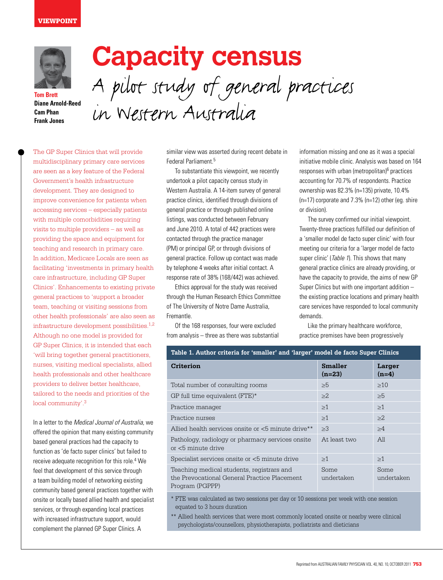## **VIEWPOINT**



**Tom Brett Diane Arnold-Reed Cam Phan Frank Jones**

## **Capacity census**  A pilot study of general practices in Western Australia

The GP Super Clinics that will provide multidisciplinary primary care services are seen as a key feature of the Federal Government's health infrastructure development. They are designed to improve convenience for patients when accessing services – especially patients with multiple comorbidities requiring visits to multiple providers – as well as providing the space and equipment for teaching and research in primary care. In addition, Medicare Locals are seen as facilitating 'investments in primary health care infrastructure, including GP Super Clinics'. Enhancements to existing private general practices to 'support a broader team, teaching or visiting sessions from other health professionals' are also seen as infrastructure development possibilities.1,2 Although no one model is provided for GP Super Clinics, it is intended that each 'will bring together general practitioners, nurses, visiting medical specialists, allied health professionals and other healthcare providers to deliver better healthcare, tailored to the needs and priorities of the local community'.3

In a letter to the Medical Journal of Australia, we offered the opinion that many existing community based general practices had the capacity to function as 'de facto super clinics' but failed to receive adequate recognition for this role.<sup>4</sup> We feel that development of this service through a team building model of networking existing community based general practices together with onsite or locally based allied health and specialist services, or through expanding local practices with increased infrastructure support, would complement the planned GP Super Clinics. A

similar view was asserted during recent debate in Federal Parliament<sup>5</sup>

To substantiate this viewpoint, we recently undertook a pilot capacity census study in Western Australia. A 14-item survey of general practice clinics, identified through divisions of general practice or through published online listings, was conducted between February and June 2010. A total of 442 practices were contacted through the practice manager (PM) or principal GP, or through divisions of general practice. Follow up contact was made by telephone 4 weeks after initial contact. A response rate of 38% (168/442) was achieved.

Ethics approval for the study was received through the Human Research Ethics Committee of The University of Notre Dame Australia, Fremantle.

Of the 168 responses, four were excluded from analysis – three as there was substantial

information missing and one as it was a special initiative mobile clinic. Analysis was based on 164 responses with urban (metropolitan)<sup>6</sup> practices accounting for 70.7% of respondents. Practice ownership was 82.3% (n=135) private, 10.4% (n=17) corporate and 7.3% (n=12) other (eg. shire or division).

The survey confirmed our initial viewpoint. Twenty-three practices fulfilled our definition of a 'smaller model de facto super clinic' with four meeting our criteria for a 'larger model de facto super clinic' (Table 1). This shows that many general practice clinics are already providing, or have the capacity to provide, the aims of new GP Super Clinics but with one important addition – the existing practice locations and primary health care services have responded to local community demands.

Like the primary healthcare workforce, practice premises have been progressively

| Table 1. Author criteria for 'smaller' and 'larger' model de facto Super Clinics                             |                            |                    |
|--------------------------------------------------------------------------------------------------------------|----------------------------|--------------------|
| <b>Criterion</b>                                                                                             | <b>Smaller</b><br>$(n=23)$ | Larger<br>$(n=4)$  |
| Total number of consulting rooms                                                                             | $\geq 5$                   | $\geq 10$          |
| GP full time equivalent (FTE)*                                                                               | $\geq$ 2                   | >5                 |
| Practice manager                                                                                             | $\geq$ 1                   | >1                 |
| Practice nurses                                                                                              | $\geq$ 1                   | $>2$ .             |
| Allied health services onsite or <5 minute drive**                                                           | $\geq 3$                   | $\geq 4$           |
| Pathology, radiology or pharmacy services onsite<br>or <5 minute drive                                       | At least two               | All                |
| Specialist services onsite or <5 minute drive                                                                | >1                         | >1                 |
| Teaching medical students, registrars and<br>the Prevocational General Practice Placement<br>Program (PGPPP) | Some<br>undertaken         | Some<br>undertaken |

\* FTE was calculated as two sessions per day or 10 sessions per week with one session equated to 3 hours duration

\*\* Allied health services that were most commonly located onsite or nearby were clinical psychologists/counsellors, physiotherapists, podiatrists and dieticians